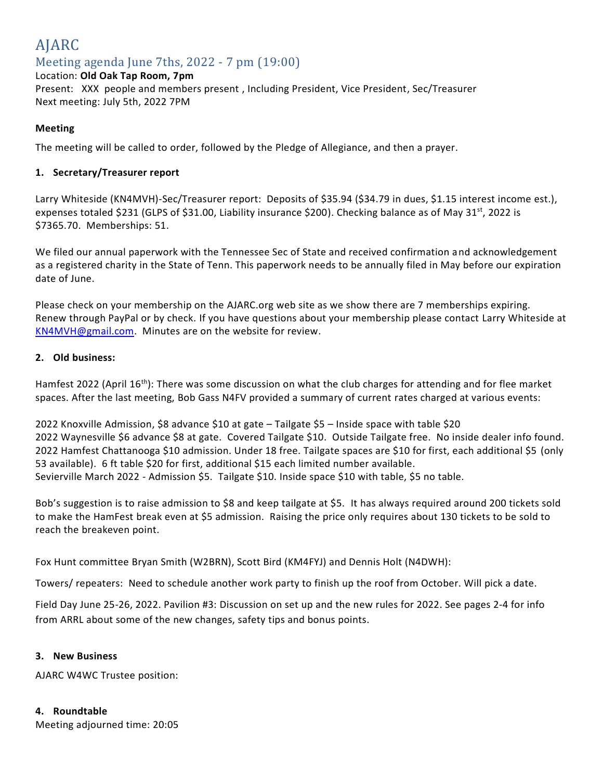### AJARC Meeting agenda June 7ths, 2022 - 7 pm (19:00)

### Location: **Old Oak Tap Room, 7pm**

Present: XXX people and members present , Including President, Vice President, Sec/Treasurer Next meeting: July 5th, 2022 7PM

### **Meeting**

The meeting will be called to order, followed by the Pledge of Allegiance, and then a prayer.

### **1. Secretary/Treasurer report**

Larry Whiteside (KN4MVH)-Sec/Treasurer report: Deposits of \$35.94 (\$34.79 in dues, \$1.15 interest income est.), expenses totaled \$231 (GLPS of \$31.00, Liability insurance \$200). Checking balance as of May 31<sup>st</sup>, 2022 is \$7365.70. Memberships: 51.

We filed our annual paperwork with the Tennessee Sec of State and received confirmation and acknowledgement as a registered charity in the State of Tenn. This paperwork needs to be annually filed in May before our expiration date of June.

Please check on your membership on the AJARC.org web site as we show there are 7 memberships expiring. Renew through PayPal or by check. If you have questions about your membership please contact Larry Whiteside at [KN4MVH@gmail.com.](mailto:KN4MVH@gmail.com) Minutes are on the website for review.

### **2. Old business:**

Hamfest 2022 (April 16<sup>th</sup>): There was some discussion on what the club charges for attending and for flee market spaces. After the last meeting, Bob Gass N4FV provided a summary of current rates charged at various events:

2022 Knoxville Admission, \$8 advance \$10 at gate – Tailgate \$5 – Inside space with table \$20 2022 Waynesville \$6 advance \$8 at gate. Covered Tailgate \$10. Outside Tailgate free. No inside dealer info found. 2022 Hamfest Chattanooga \$10 admission. Under 18 free. Tailgate spaces are \$10 for first, each additional \$5 (only 53 available). 6 ft table \$20 for first, additional \$15 each limited number available. Sevierville March 2022 - Admission \$5. Tailgate \$10. Inside space \$10 with table, \$5 no table.

Bob's suggestion is to raise admission to \$8 and keep tailgate at \$5. It has always required around 200 tickets sold to make the HamFest break even at \$5 admission. Raising the price only requires about 130 tickets to be sold to reach the breakeven point.

Fox Hunt committee Bryan Smith (W2BRN), Scott Bird (KM4FYJ) and Dennis Holt (N4DWH):

Towers/ repeaters: Need to schedule another work party to finish up the roof from October. Will pick a date.

Field Day June 25-26, 2022. Pavilion #3: Discussion on set up and the new rules for 2022. See pages 2-4 for info from ARRL about some of the new changes, safety tips and bonus points.

### **3. New Business**

AJARC W4WC Trustee position:

### **4. Roundtable**

Meeting adjourned time: 20:05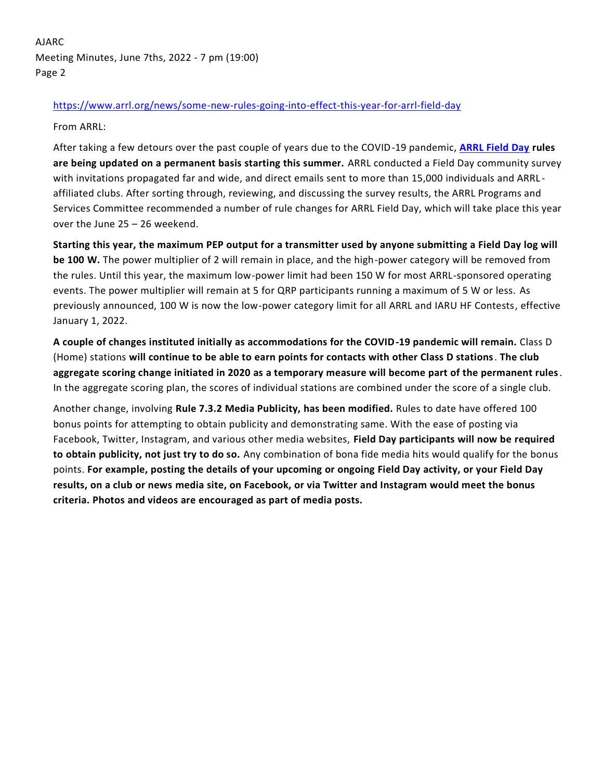AJARC Meeting Minutes, June 7ths, 2022 - 7 pm (19:00) Page 2

### <https://www.arrl.org/news/some-new-rules-going-into-effect-this-year-for-arrl-field-day>

From ARRL:

After taking a few detours over the past couple of years due to the COVID-19 pandemic, **[ARRL Field Day](http://www.arrl.org/field-day) rules are being updated on a permanent basis starting this summer.** ARRL conducted a Field Day community survey with invitations propagated far and wide, and direct emails sent to more than 15,000 individuals and ARRL affiliated clubs. After sorting through, reviewing, and discussing the survey results, the ARRL Programs and Services Committee recommended a number of rule changes for ARRL Field Day, which will take place this year over the June 25 – 26 weekend.

**Starting this year, the maximum PEP output for a transmitter used by anyone submitting a Field Day log will be 100 W.** The power multiplier of 2 will remain in place, and the high-power category will be removed from the rules. Until this year, the maximum low-power limit had been 150 W for most ARRL-sponsored operating events. The power multiplier will remain at 5 for QRP participants running a maximum of 5 W or less. As previously announced, 100 W is now the low-power category limit for all ARRL and IARU HF Contests, effective January 1, 2022.

**A couple of changes instituted initially as accommodations for the COVID-19 pandemic will remain.** Class D (Home) stations **will continue to be able to earn points for contacts with other Class D stations**. **The club aggregate scoring change initiated in 2020 as a temporary measure will become part of the permanent rules**. In the aggregate scoring plan, the scores of individual stations are combined under the score of a single club.

Another change, involving **Rule 7.3.2 Media Publicity, has been modified.** Rules to date have offered 100 bonus points for attempting to obtain publicity and demonstrating same. With the ease of posting via Facebook, Twitter, Instagram, and various other media websites, **Field Day participants will now be required to obtain publicity, not just try to do so.** Any combination of bona fide media hits would qualify for the bonus points. **For example, posting the details of your upcoming or ongoing Field Day activity, or your Field Day results, on a club or news media site, on Facebook, or via Twitter and Instagram would meet the bonus criteria. Photos and videos are encouraged as part of media posts.**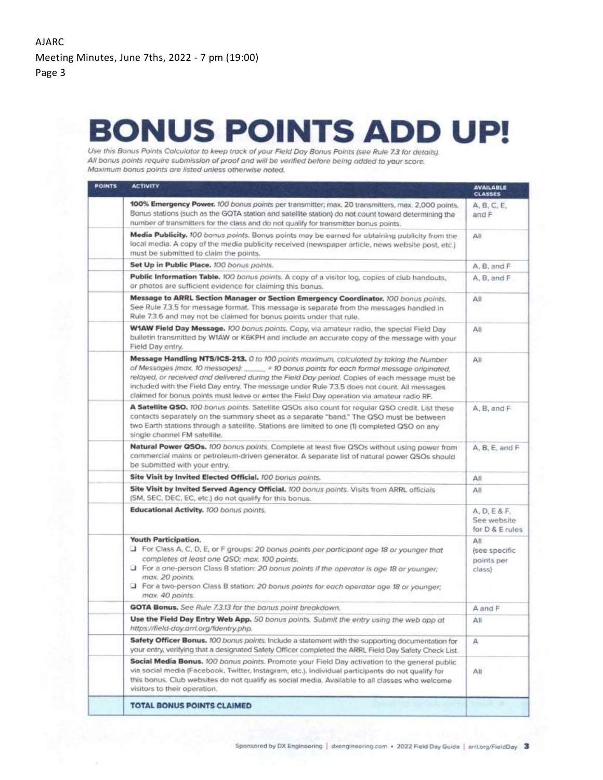## **BONUS POINTS ADD UP!**

Use this Bonus Points Calculator to keep track of your Field Day Bonus Points (see Rule 7.3 for details). All bonus points require submission of proof and will be verified before being added to your score. Maximum bonus points are listed unless otherwise noted.

| <b>POINTS</b> | <b>ACTIVITY</b>                                                                                                                                                                                                                                                                                                                                                                                                                                                                      | <b>AVAILABLE</b><br><b>CLASSES</b>           |
|---------------|--------------------------------------------------------------------------------------------------------------------------------------------------------------------------------------------------------------------------------------------------------------------------------------------------------------------------------------------------------------------------------------------------------------------------------------------------------------------------------------|----------------------------------------------|
|               | 100% Emergency Power. 100 bonus points per transmitter; max. 20 transmitters, max. 2,000 points.<br>Bonus stations (such as the GOTA station and satellite station) do not count toward determining the<br>number of transmitters for the class and do not qualify for transmitter bonus points.                                                                                                                                                                                     | A, B, C, E,<br>and F                         |
|               | Media Publicity. 100 bonus points. Bonus points may be earned for obtaining publicity from the<br>local media. A copy of the media publicity received (newspaper article, news website post, etc.)<br>must be submitted to claim the points.                                                                                                                                                                                                                                         | All                                          |
|               | Set Up in Public Place. 100 bonus points.                                                                                                                                                                                                                                                                                                                                                                                                                                            | A, B, and F                                  |
|               | Public Information Table. 100 bonus points. A copy of a visitor log, copies of club handouts,<br>or photos are sufficient evidence for claiming this bonus.                                                                                                                                                                                                                                                                                                                          | A.B. and F                                   |
|               | Message to ARRL Section Manager or Section Emergency Coordinator. 100 bonus points.<br>See Rule 7.3.5 for message format. This message is separate from the messages handled in<br>Rule 7.3.6 and may not be claimed for bonus points under that rule.                                                                                                                                                                                                                               | AІІ                                          |
|               | W1AW Field Day Message. 100 bonus points. Copy, via amateur radio, the special Field Day<br>bulletin transmitted by W1AW or K6KPH and include an accurate copy of the message with your<br>Field Day entry.                                                                                                                                                                                                                                                                          | Аll                                          |
|               | Message Handling NTS/ICS-213. 0 to 100 points maximum, calculated by taking the Number<br>of Messages (max. 10 messages): ____ * 10 bonus points for each formal message originated.<br>relayed, or received and delivered during the Field Day period. Copies of each message must be<br>included with the Field Day entry. The message under Rule 7.3.5 does not count. All messages<br>claimed for bonus points must leave or enter the Field Day operation via amateur radio RF. | All                                          |
|               | A Satellite QSO. 100 bonus points. Satellite QSOs also count for regular QSO credit. List these<br>contacts separately on the summary sheet as a separate "band." The QSO must be between<br>two Earth stations through a satellite. Stations are limited to one (1) completed QSO on any<br>single channel FM satellite.                                                                                                                                                            | A, B, and F                                  |
|               | Natural Power QSOs. 100 bonus points. Complete at least five QSOs without using power from<br>commercial mains or petroleum-driven generator. A separate list of natural power QSOs should<br>be submitted with your entry.                                                                                                                                                                                                                                                          | A, B, E, and F                               |
|               | Site Visit by Invited Elected Official. 100 bonus points.                                                                                                                                                                                                                                                                                                                                                                                                                            | All                                          |
|               | Site Visit by Invited Served Agency Official. 100 bonus points. Visits from ARRL officials<br>(SM, SEC, DEC, EC, etc.) do not qualify for this bonus.                                                                                                                                                                                                                                                                                                                                | All                                          |
|               | Educational Activity. 100 bonus points.                                                                                                                                                                                                                                                                                                                                                                                                                                              | A, D, E&F.<br>See website<br>for D & E rules |
|               | Youth Participation.<br>T For Class A, C, D, E, or F groups: 20 bonus points per participant age 18 or younger that<br>completes at least one QSO; max. 100 points.<br>T For a one-person Class B station: 20 bonus points if the operator is age 18 or younger;<br>max. 20 points.<br>For a two-person Class B station: 20 bonus points for each operator age 18 or younger;<br>max. 40 points.                                                                                     | AІІ<br>(see specific<br>points per<br>class) |
|               | GOTA Bonus. See Rule 7.3.13 for the bonus point breakdown.                                                                                                                                                                                                                                                                                                                                                                                                                           | A and F                                      |
|               | Use the Field Day Entry Web App. 50 bonus points. Submit the entry using the web app at<br>https://field-day.arrl.org/fdentry.php.                                                                                                                                                                                                                                                                                                                                                   | All                                          |
|               | Safety Officer Bonus. 100 bonus points. Include a statement with the supporting documentation for<br>your entry, verifying that a designated Safety Officer completed the ARRL Field Day Safety Check List.                                                                                                                                                                                                                                                                          | А                                            |
|               | Social Media Bonus. 100 bonus points. Promote your Field Day activation to the general public<br>via social media (Facebook, Twitter, Instagram, etc.). Individual participants do not qualify for<br>this bonus. Club websites do not qualify as social media. Available to all classes who welcome<br>visitors to their operation.                                                                                                                                                 | All                                          |
|               | <b>TOTAL BONUS POINTS CLAIMED</b>                                                                                                                                                                                                                                                                                                                                                                                                                                                    |                                              |